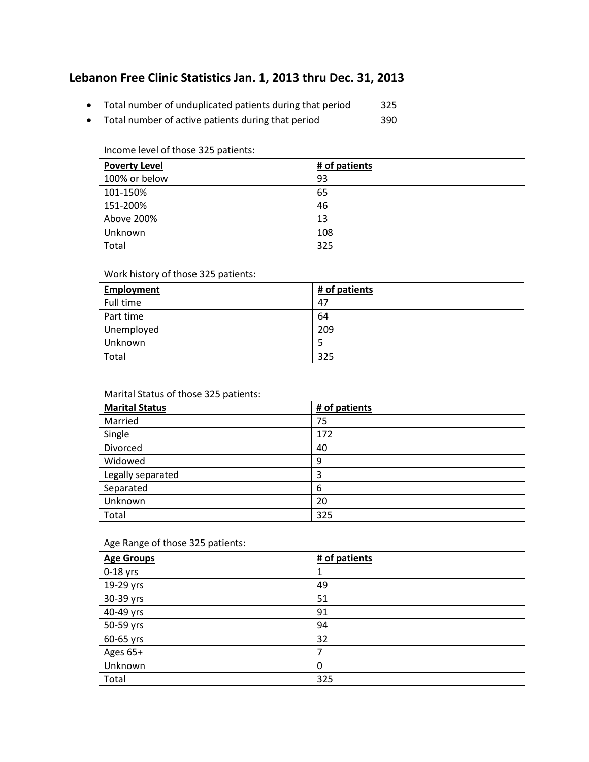# **Lebanon Free Clinic Statistics Jan. 1, 2013 thru Dec. 31, 2013**

- Total number of unduplicated patients during that period 325
- Total number of active patients during that period 390

#### Income level of those 325 patients:

| <b>Poverty Level</b> | # of patients |
|----------------------|---------------|
| 100% or below        | 93            |
| 101-150%             | 65            |
| 151-200%             | 46            |
| Above 200%           | 13            |
| Unknown              | 108           |
| Total                | 325           |

## Work history of those 325 patients:

| <b>Employment</b> | # of patients |
|-------------------|---------------|
| Full time         | 47            |
| Part time         | 64            |
| Unemployed        | 209           |
| Unknown           |               |
| Total             | 325           |

### Marital Status of those 325 patients:

| <b>Marital Status</b> | # of patients |
|-----------------------|---------------|
| Married               | 75            |
| Single                | 172           |
| Divorced              | 40            |
| Widowed               | 9             |
| Legally separated     | 3             |
| Separated             | 6             |
| Unknown               | 20            |
| Total                 | 325           |

#### Age Range of those 325 patients:

| <b>Age Groups</b> | # of patients |
|-------------------|---------------|
| 0-18 yrs          |               |
| 19-29 yrs         | 49            |
| 30-39 yrs         | 51            |
| 40-49 yrs         | 91            |
| 50-59 yrs         | 94            |
| 60-65 yrs         | 32            |
| Ages 65+          | 7             |
| Unknown           | $\Omega$      |
| Total             | 325           |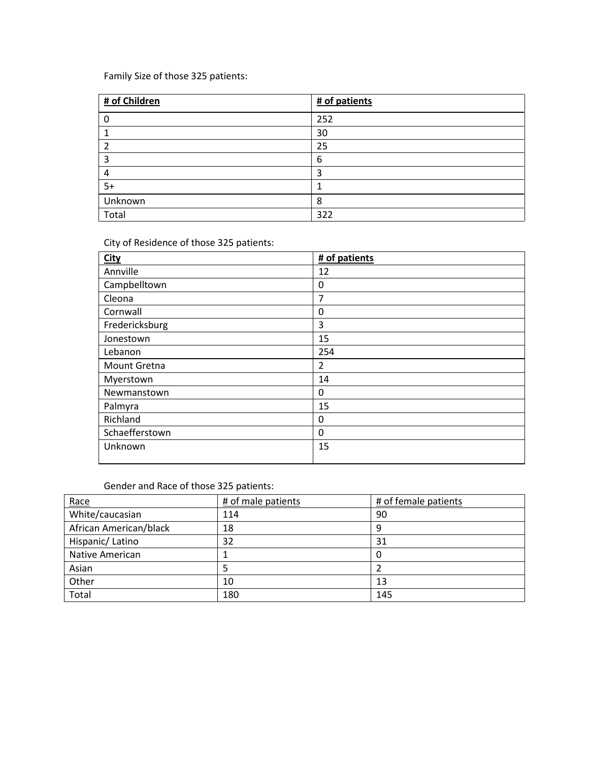Family Size of those 325 patients:

| # of Children | # of patients |
|---------------|---------------|
|               | 252           |
|               | 30            |
| 2             | 25            |
| 3             | 6             |
| 4             | 3             |
| $5+$          |               |
| Unknown       | 8             |
| Total         | 322           |

City of Residence of those 325 patients:

| <b>City</b>         | # of patients  |
|---------------------|----------------|
| Annville            | 12             |
| Campbelltown        | 0              |
| Cleona              | 7              |
| Cornwall            | 0              |
| Fredericksburg      | 3              |
| Jonestown           | 15             |
| Lebanon             | 254            |
| <b>Mount Gretna</b> | $\overline{2}$ |
| Myerstown           | 14             |
| Newmanstown         | 0              |
| Palmyra             | 15             |
| Richland            | 0              |
| Schaefferstown      | 0              |
| Unknown             | 15             |

# Gender and Race of those 325 patients:

| Race                   | # of male patients | # of female patients |
|------------------------|--------------------|----------------------|
| White/caucasian        | 114                | 90                   |
| African American/black | 18                 | g                    |
| Hispanic/Latino        | 32                 | 31                   |
| Native American        |                    |                      |
| Asian                  |                    |                      |
| Other                  | 10                 | 13                   |
| Total                  | 180                | 145                  |